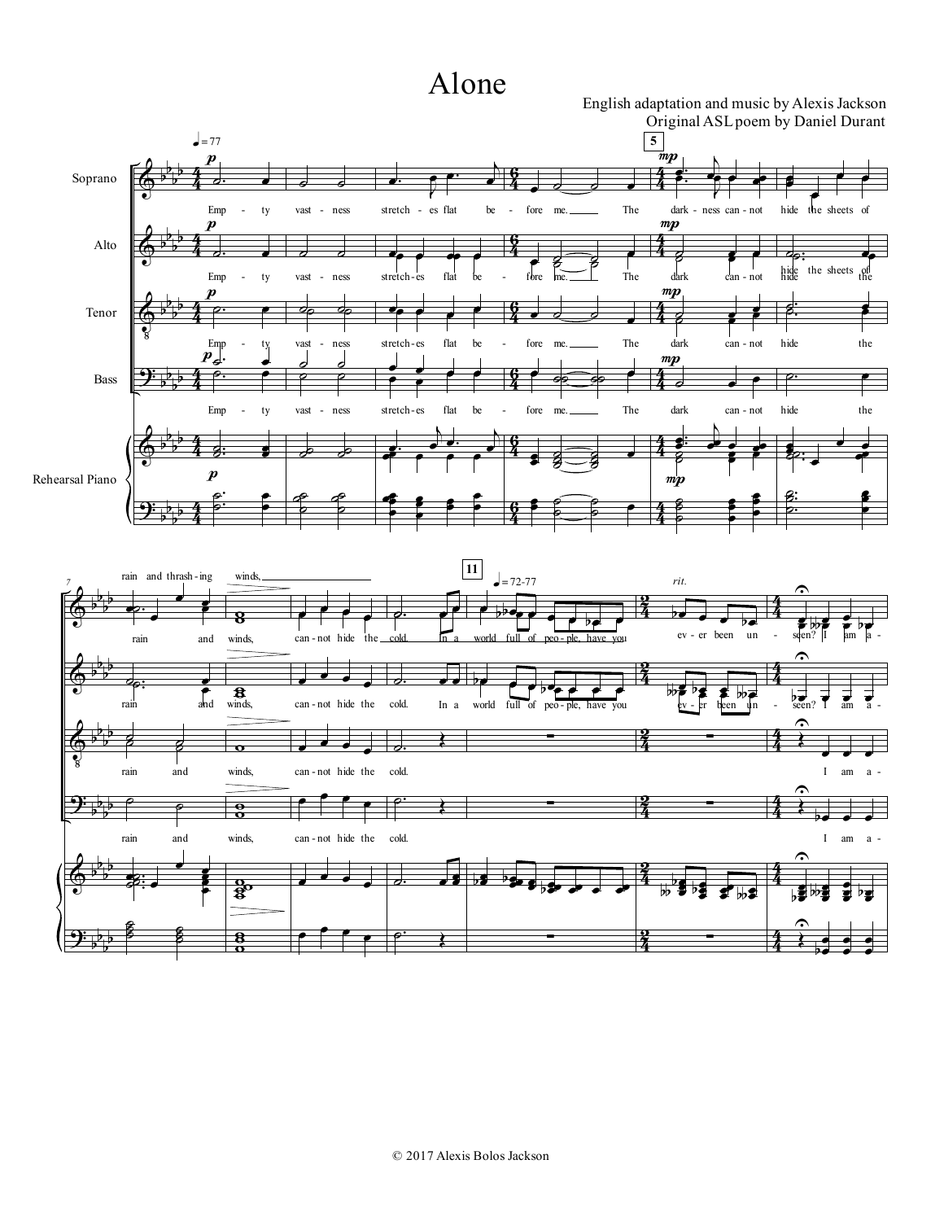## Alone

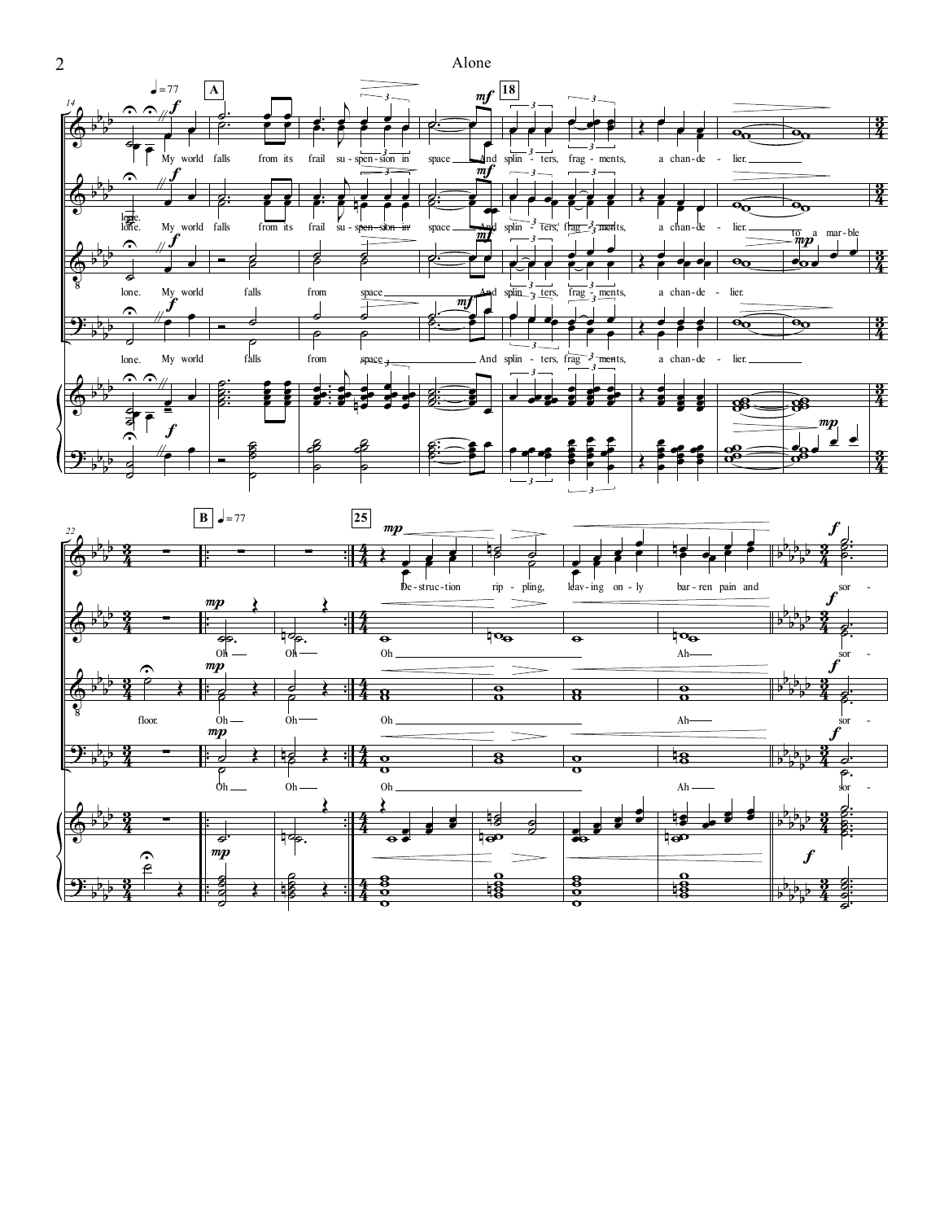

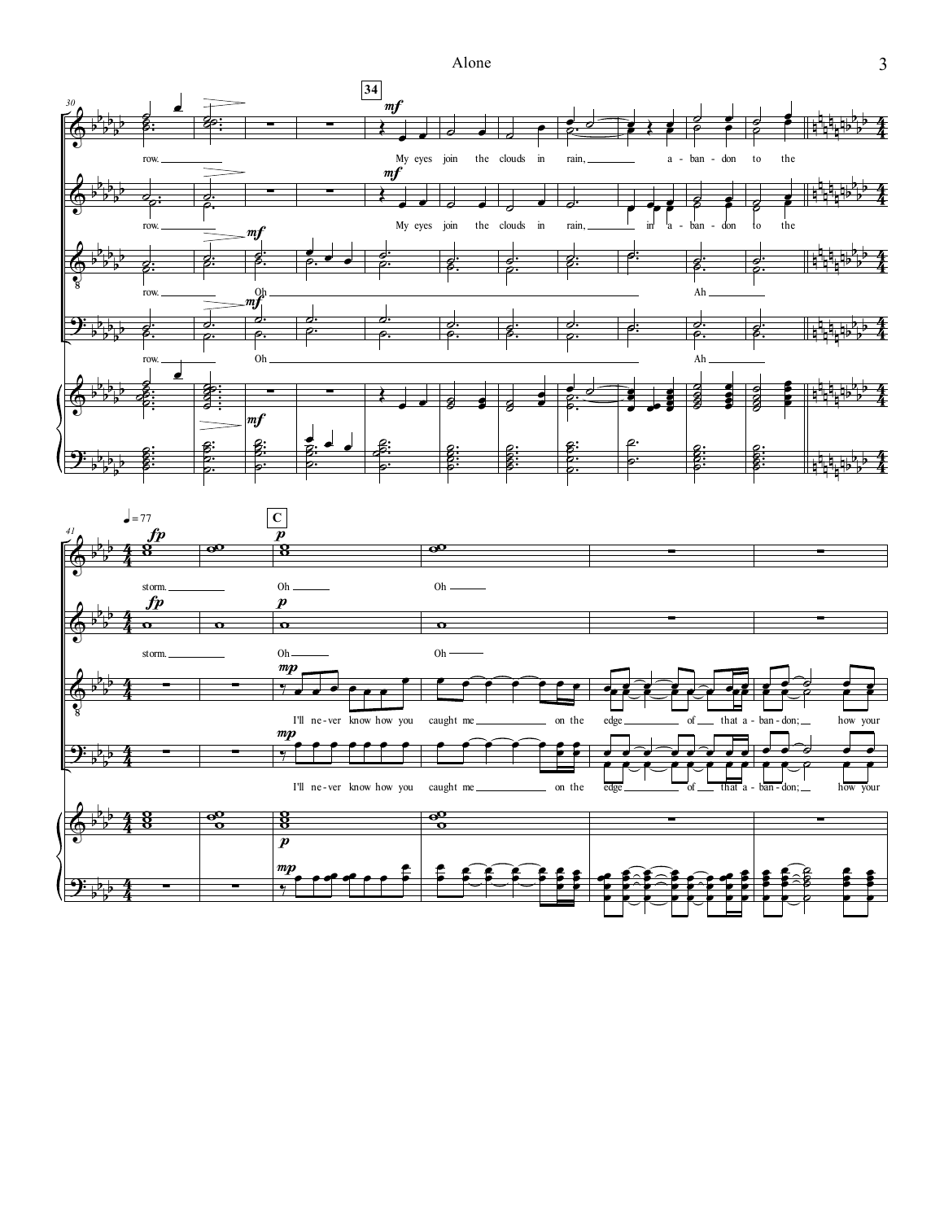